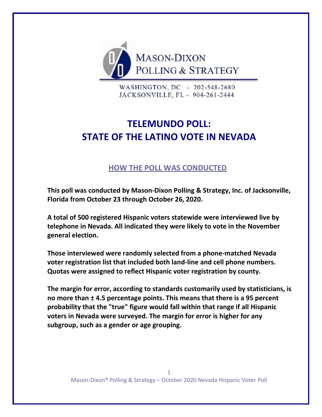

WASHINGTON, DC - 202-548-2680 JACKSONVILLE, FL - 904-261-2444

# **TELEMUNDO POLL: STATE OF THE LATINO VOTE IN NEVADA**

## **HOW THE POLL WAS CONDUCTED**

**This poll was conducted by Mason-Dixon Polling & Strategy, Inc. of Jacksonville, Florida from October 23 through October 26, 2020.** 

**A total of 500 registered Hispanic voters statewide were interviewed live by telephone in Nevada. All indicated they were likely to vote in the November general election.**

**Those interviewed were randomly selected from a phone-matched Nevada voter registration list that included both land-line and cell phone numbers. Quotas were assigned to reflect Hispanic voter registration by county.**

**The margin for error, according to standards customarily used by statisticians, is no more than ± 4.5 percentage points. This means that there is a 95 percent probability that the "true" figure would fall within that range if all Hispanic voters in Nevada were surveyed. The margin for error is higher for any subgroup, such as a gender or age grouping.**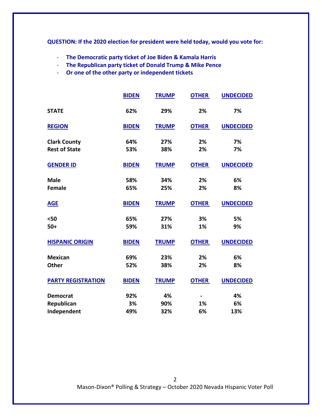**QUESTION: If the 2020 election for president were held today, would you vote for:**

- **The Democratic party ticket of Joe Biden & Kamala Harris**
- **The Republican party ticket of Donald Trump & Mike Pence**
- **Or one of the other party or independent tickets**

|                           | <b>BIDEN</b> | <b>TRUMP</b> | <b>OTHER</b>                 | <b>UNDECIDED</b> |
|---------------------------|--------------|--------------|------------------------------|------------------|
| <b>STATE</b>              | 62%          | 29%          | 2%                           | 7%               |
| <b>REGION</b>             | <b>BIDEN</b> | <b>TRUMP</b> | <b>OTHER</b>                 | <b>UNDECIDED</b> |
| <b>Clark County</b>       | 64%          | 27%          | 2%                           | 7%               |
| <b>Rest of State</b>      | 53%          | 38%          | 2%                           | 7%               |
| <b>GENDER ID</b>          | <b>BIDEN</b> | <b>TRUMP</b> | <b>OTHER</b>                 | <b>UNDECIDED</b> |
| <b>Male</b>               | 58%          | 34%          | 2%                           | 6%               |
| <b>Female</b>             | 65%          | 25%          | 2%                           | 8%               |
| <b>AGE</b>                | <b>BIDEN</b> | <b>TRUMP</b> | <b>OTHER</b>                 | <b>UNDECIDED</b> |
| $50$                      | 65%          | 27%          | 3%                           | 5%               |
| $50+$                     | 59%          | 31%          | 1%                           | 9%               |
| <b>HISPANIC ORIGIN</b>    | <b>BIDEN</b> | <b>TRUMP</b> | <b>OTHER</b>                 | <b>UNDECIDED</b> |
| <b>Mexican</b>            | 69%          | 23%          | 2%                           | 6%               |
| <b>Other</b>              | 52%          | 38%          | 2%                           | 8%               |
| <b>PARTY REGISTRATION</b> | <b>BIDEN</b> | <b>TRUMP</b> | <b>OTHER</b>                 | <b>UNDECIDED</b> |
| <b>Democrat</b>           | 92%          | 4%           | $\qquad \qquad \blacksquare$ | 4%               |
| Republican                | 3%           | 90%          | 1%                           | 6%               |
| Independent               | 49%          | 32%          | 6%                           | 13%              |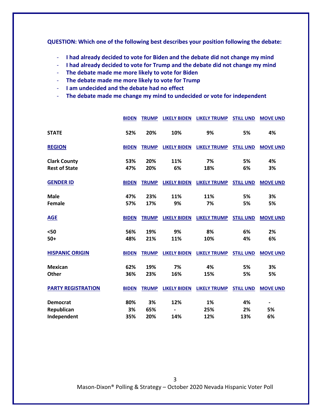**QUESTION: Which one of the following best describes your position following the debate:**

- **I had already decided to vote for Biden and the debate did not change my mind**
- **I had already decided to vote for Trump and the debate did not change my mind**
- **The debate made me more likely to vote for Biden**
- **The debate made me more likely to vote for Trump**
- **I am undecided and the debate had no effect**
- **The debate made me change my mind to undecided or vote for independent**

|                           | <b>BIDEN</b> | <b>TRUMP</b> | <b>LIKELY BIDEN</b> | <b>LIKELY TRUMP</b>              | <b>STILL UND</b> | <b>MOVE UND</b> |
|---------------------------|--------------|--------------|---------------------|----------------------------------|------------------|-----------------|
| <b>STATE</b>              | 52%          | 20%          | 10%                 | 9%                               | 5%               | 4%              |
| <b>REGION</b>             | <b>BIDEN</b> | <b>TRUMP</b> | <b>LIKELY BIDEN</b> | <b>LIKELY TRUMP</b>              | <b>STILL UND</b> | <b>MOVE UND</b> |
| <b>Clark County</b>       | 53%          | 20%          | 11%                 | 7%                               | 5%               | 4%              |
| <b>Rest of State</b>      | 47%          | 20%          | 6%                  | 18%                              | 6%               | 3%              |
| <b>GENDER ID</b>          | <b>BIDEN</b> | <b>TRUMP</b> | <b>LIKELY BIDEN</b> | <b>LIKELY TRUMP</b>              | <b>STILL UND</b> | <b>MOVE UND</b> |
| <b>Male</b>               | 47%          | 23%          | 11%                 | 11%                              | 5%               | 3%              |
| Female                    | 57%          | 17%          | 9%                  | 7%                               | 5%               | 5%              |
| <b>AGE</b>                | <b>BIDEN</b> | <b>TRUMP</b> | <b>LIKELY BIDEN</b> | <b>LIKELY TRUMP</b>              | <b>STILL UND</b> | <b>MOVE UND</b> |
| $50$                      | 56%          | 19%          | 9%                  | 8%                               | 6%               | 2%              |
| $50+$                     | 48%          | 21%          | 11%                 | 10%                              | 4%               | 6%              |
| <b>HISPANIC ORIGIN</b>    | <b>BIDEN</b> | <b>TRUMP</b> |                     | <b>LIKELY BIDEN LIKELY TRUMP</b> | <b>STILL UND</b> | <b>MOVE UND</b> |
| <b>Mexican</b>            | 62%          | 19%          | 7%                  | 4%                               | 5%               | 3%              |
| Other                     | 36%          | 23%          | 16%                 | 15%                              | 5%               | 5%              |
| <b>PARTY REGISTRATION</b> | <b>BIDEN</b> | <b>TRUMP</b> | <b>LIKELY BIDEN</b> | <b>LIKELY TRUMP</b>              | <b>STILL UND</b> | <b>MOVE UND</b> |
| <b>Democrat</b>           | 80%          | 3%           | 12%                 | 1%                               | 4%               | $\blacksquare$  |
| Republican                | 3%           | 65%          |                     | 25%                              | 2%               | 5%              |
| Independent               | 35%          | 20%          | 14%                 | 12%                              | 13%              | 6%              |

Mason-Dixon® Polling & Strategy – October 2020 Nevada Hispanic Voter Poll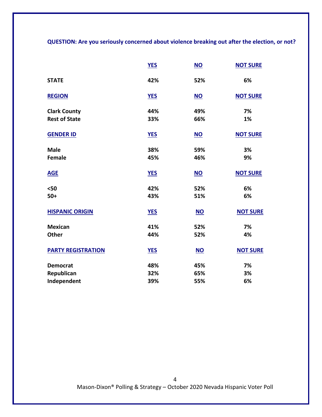**QUESTION: Are you seriously concerned about violence breaking out after the election, or not?**

|                           | <b>YES</b> | $NO$      | <b>NOT SURE</b> |
|---------------------------|------------|-----------|-----------------|
| <b>STATE</b>              | 42%        | 52%       | 6%              |
| <b>REGION</b>             | <b>YES</b> | NO        | <b>NOT SURE</b> |
| <b>Clark County</b>       | 44%        | 49%       | 7%              |
| <b>Rest of State</b>      | 33%        | 66%       | 1%              |
| <b>GENDER ID</b>          | <b>YES</b> | $NO$      | <b>NOT SURE</b> |
| <b>Male</b>               | 38%        | 59%       | 3%              |
| <b>Female</b>             | 45%        | 46%       | 9%              |
| <b>AGE</b>                | <b>YES</b> | <b>NO</b> | <b>NOT SURE</b> |
| $50$                      | 42%        | 52%       | 6%              |
| $50+$                     | 43%        | 51%       | 6%              |
| <b>HISPANIC ORIGIN</b>    | <b>YES</b> | <b>NO</b> | <b>NOT SURE</b> |
| <b>Mexican</b>            | 41%        | 52%       | 7%              |
| Other                     | 44%        | 52%       | 4%              |
| <b>PARTY REGISTRATION</b> | <b>YES</b> | $NO$      | <b>NOT SURE</b> |
| <b>Democrat</b>           | 48%        | 45%       | 7%              |
| Republican                | 32%        | 65%       | 3%              |
| Independent               | 39%        | 55%       | 6%              |

Mason-Dixon® Polling & Strategy – October 2020 Nevada Hispanic Voter Poll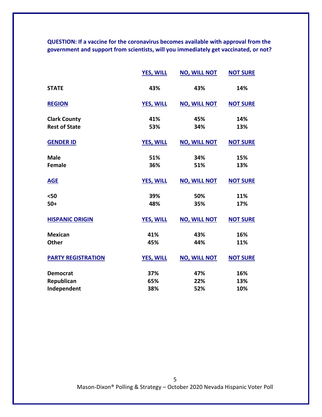**QUESTION: If a vaccine for the coronavirus becomes available with approval from the government and support from scientists, will you immediately get vaccinated, or not?** 

|                           | <b>YES, WILL</b> | <b>NO, WILL NOT</b> | <b>NOT SURE</b> |
|---------------------------|------------------|---------------------|-----------------|
| <b>STATE</b>              | 43%              | 43%                 | 14%             |
| <b>REGION</b>             | <b>YES, WILL</b> | <b>NO, WILL NOT</b> | <b>NOT SURE</b> |
| <b>Clark County</b>       | 41%              | 45%                 | 14%             |
| <b>Rest of State</b>      | 53%              | 34%                 | 13%             |
| <b>GENDER ID</b>          | <b>YES, WILL</b> | <b>NO, WILL NOT</b> | <b>NOT SURE</b> |
| <b>Male</b>               | 51%              | 34%                 | 15%             |
| <b>Female</b>             | 36%              | 51%                 | 13%             |
| <b>AGE</b>                | <b>YES, WILL</b> | <b>NO, WILL NOT</b> | <b>NOT SURE</b> |
| $50$                      | 39%              | 50%                 | 11%             |
| $50+$                     | 48%              | 35%                 | 17%             |
| <b>HISPANIC ORIGIN</b>    | <b>YES, WILL</b> | <b>NO, WILL NOT</b> | <b>NOT SURE</b> |
| <b>Mexican</b>            | 41%              | 43%                 | 16%             |
| <b>Other</b>              | 45%              | 44%                 | 11%             |
| <b>PARTY REGISTRATION</b> | <b>YES, WILL</b> | <b>NO, WILL NOT</b> | <b>NOT SURE</b> |
| <b>Democrat</b>           | 37%              | 47%                 | 16%             |
| Republican                | 65%              | 22%                 | 13%             |
| Independent               | 38%              | 52%                 | 10%             |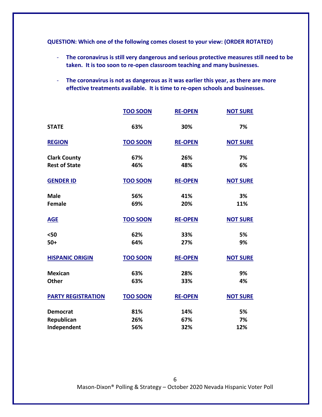**QUESTION: Which one of the following comes closest to your view: (ORDER ROTATED)**

- **The coronavirus is still very dangerous and serious protective measures still need to be taken. It is too soon to re-open classroom teaching and many businesses.**
- **The coronavirus is not as dangerous as it was earlier this year, as there are more effective treatments available. It is time to re-open schools and businesses.**

|                           | <b>TOO SOON</b> | <b>RE-OPEN</b> | <b>NOT SURE</b> |
|---------------------------|-----------------|----------------|-----------------|
| <b>STATE</b>              | 63%             | 30%            | 7%              |
| <b>REGION</b>             | <b>TOO SOON</b> | <b>RE-OPEN</b> | <b>NOT SURE</b> |
| <b>Clark County</b>       | 67%             | 26%            | 7%              |
| <b>Rest of State</b>      | 46%             | 48%            | 6%              |
| <b>GENDER ID</b>          | <b>TOO SOON</b> | <b>RE-OPEN</b> | <b>NOT SURE</b> |
| <b>Male</b>               | 56%             | 41%            | 3%              |
| <b>Female</b>             | 69%             | 20%            | 11%             |
| <b>AGE</b>                | <b>TOO SOON</b> | <b>RE-OPEN</b> | <b>NOT SURE</b> |
| $50$                      | 62%             | 33%            | 5%              |
| $50+$                     | 64%             | 27%            | 9%              |
| <b>HISPANIC ORIGIN</b>    | <b>TOO SOON</b> | <b>RE-OPEN</b> | <b>NOT SURE</b> |
| <b>Mexican</b>            | 63%             | 28%            | 9%              |
| <b>Other</b>              | 63%             | 33%            | 4%              |
| <b>PARTY REGISTRATION</b> | <b>TOO SOON</b> | <b>RE-OPEN</b> | <b>NOT SURE</b> |
| <b>Democrat</b>           | 81%             | 14%            | 5%              |
| Republican                | 26%             | 67%            | 7%              |
| Independent               | 56%             | 32%            | 12%             |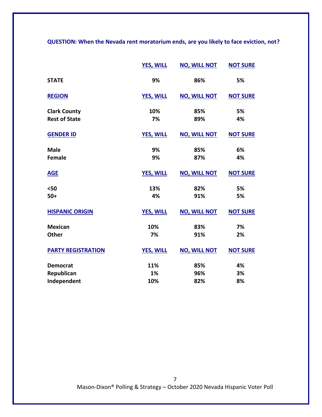**QUESTION: When the Nevada rent moratorium ends, are you likely to face eviction, not?**

|                           | <b>YES, WILL</b> | <b>NO, WILL NOT</b> | <b>NOT SURE</b> |
|---------------------------|------------------|---------------------|-----------------|
| <b>STATE</b>              | 9%               | 86%                 | 5%              |
| <b>REGION</b>             | <b>YES, WILL</b> | <b>NO, WILL NOT</b> | <b>NOT SURE</b> |
| <b>Clark County</b>       | 10%              | 85%                 | 5%              |
| <b>Rest of State</b>      | 7%               | 89%                 | 4%              |
| <b>GENDER ID</b>          | <b>YES, WILL</b> | <b>NO, WILL NOT</b> | <b>NOT SURE</b> |
| <b>Male</b>               | 9%               | 85%                 | 6%              |
| <b>Female</b>             | 9%               | 87%                 | 4%              |
| <b>AGE</b>                | <b>YES, WILL</b> | <b>NO, WILL NOT</b> | <b>NOT SURE</b> |
| $50$                      | 13%              | 82%                 | 5%              |
| $50+$                     | 4%               | 91%                 | 5%              |
| <b>HISPANIC ORIGIN</b>    | <b>YES, WILL</b> | <b>NO, WILL NOT</b> | <b>NOT SURE</b> |
| <b>Mexican</b>            | 10%              | 83%                 | 7%              |
| <b>Other</b>              | 7%               | 91%                 | 2%              |
| <b>PARTY REGISTRATION</b> | <b>YES, WILL</b> | <b>NO, WILL NOT</b> | <b>NOT SURE</b> |
| <b>Democrat</b>           | 11%              | 85%                 | 4%              |
| Republican                | 1%               | 96%                 | 3%              |
| Independent               | 10%              | 82%                 | 8%              |

Mason-Dixon® Polling & Strategy – October 2020 Nevada Hispanic Voter Poll